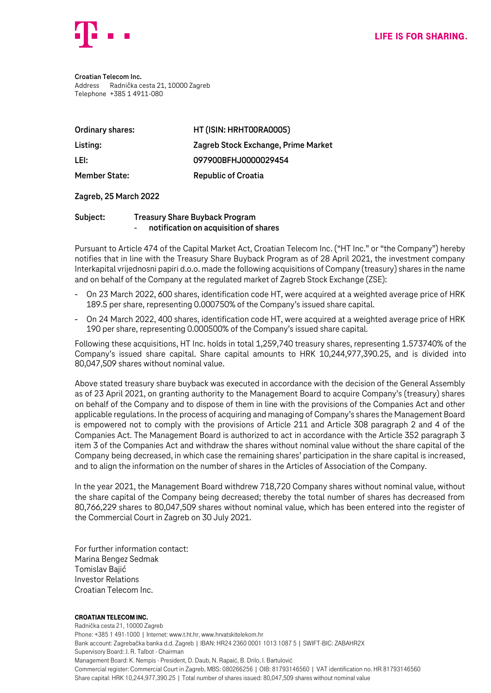

**Croatian Telecom Inc.** Address Radnička cesta 21, 10000 Zagreb Telephone +385 1 4911-080

| <b>Ordinary shares:</b> | HT (ISIN: HRHT00RA0005)             |
|-------------------------|-------------------------------------|
| Listing:                | Zagreb Stock Exchange, Prime Market |
| LEI:                    | 097900BFHJ0000029454                |
| <b>Member State:</b>    | <b>Republic of Croatia</b>          |

## **Zagreb, 25 March 2022**

## **Subject: Treasury Share Buyback Program** - **notification on acquisition of shares**

Pursuant to Article 474 of the Capital Market Act, Croatian Telecom Inc. ("HT Inc." or "the Company") hereby notifies that in line with the Treasury Share Buyback Program as of 28 April 2021, the investment company Interkapital vrijednosni papiri d.o.o. made the following acquisitions of Company (treasury) shares in the name and on behalf of the Company at the regulated market of Zagreb Stock Exchange (ZSE):

- On 23 March 2022, 600 shares, identification code HT, were acquired at a weighted average price of HRK 189.5 per share, representing 0.000750% of the Company's issued share capital.
- On 24 March 2022, 400 shares, identification code HT, were acquired at a weighted average price of HRK 190 per share, representing 0.000500% of the Company's issued share capital.

Following these acquisitions, HT Inc. holds in total 1,259,740 treasury shares, representing 1.573740% of the Company's issued share capital. Share capital amounts to HRK 10,244,977,390.25, and is divided into 80,047,509 shares without nominal value.

Above stated treasury share buyback was executed in accordance with the decision of the General Assembly as of 23 April 2021, on granting authority to the Management Board to acquire Company's (treasury) shares on behalf of the Company and to dispose of them in line with the provisions of the Companies Act and other applicable regulations. In the process of acquiring and managing of Company's shares the Management Board is empowered not to comply with the provisions of Article 211 and Article 308 paragraph 2 and 4 of the Companies Act. The Management Board is authorized to act in accordance with the Article 352 paragraph 3 item 3 of the Companies Act and withdraw the shares without nominal value without the share capital of the Company being decreased, in which case the remaining shares' participation in the share capital is increased, and to align the information on the number of shares in the Articles of Association of the Company.

In the year 2021, the Management Board withdrew 718,720 Company shares without nominal value, without the share capital of the Company being decreased; thereby the total number of shares has decreased from 80,766,229 shares to 80,047,509 shares without nominal value, which has been entered into the register of the Commercial Court in Zagreb on 30 July 2021.

For further information contact: Marina Bengez Sedmak Tomislav Bajić Investor Relations Croatian Telecom Inc.

## Croatian Telecom Inc.

Radnička cesta 21, 10000 Zagreb Phone: +385 1 491-1000 | Internet: www.t.ht.hr, www.hrvatskitelekom.hr Bank account: Zagrebačka banka d.d. Zagreb | IBAN: HR24 2360 0001 1013 1087 5 | SWIFT-BIC: ZABAHR2X Supervisory Board: J. R. Talbot - Chairman Management Board: K. Nempis - President, D. Daub, N. Rapaić, B. Drilo, I. Bartulović Commercial register: Commercial Court in Zagreb, MBS: 080266256 | OIB: 81793146560 | VAT identification no. HR 81793146560 Share capital: HRK 10,244,977,390.25 | Total number of shares issued: 80,047,509 shares without nominal value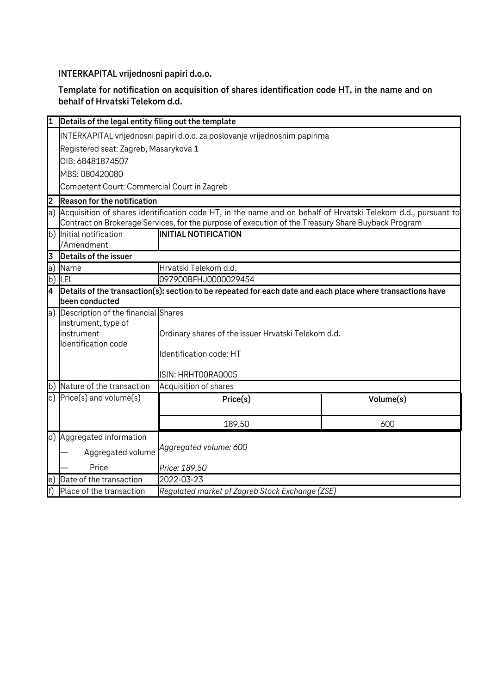**INTERKAPITAL vrijednosni papiri d.o.o.**

**Template for notification on acquisition of shares identification code HT, in the name and on behalf of Hrvatski Telekom d.d.**

| I1                                         | Details of the legal entity filing out the template                                                                                                                                                                 |                                                                                                            |           |  |  |
|--------------------------------------------|---------------------------------------------------------------------------------------------------------------------------------------------------------------------------------------------------------------------|------------------------------------------------------------------------------------------------------------|-----------|--|--|
|                                            | INTERKAPITAL vrijednosni papiri d.o.o. za poslovanje vrijednosnim papirima                                                                                                                                          |                                                                                                            |           |  |  |
|                                            | Registered seat: Zagreb, Masarykova 1<br>OIB: 68481874507                                                                                                                                                           |                                                                                                            |           |  |  |
|                                            |                                                                                                                                                                                                                     |                                                                                                            |           |  |  |
|                                            | MBS: 080420080                                                                                                                                                                                                      |                                                                                                            |           |  |  |
|                                            | Competent Court: Commercial Court in Zagreb                                                                                                                                                                         |                                                                                                            |           |  |  |
| 2                                          | <b>Reason for the notification</b>                                                                                                                                                                                  |                                                                                                            |           |  |  |
| a)                                         | Acquisition of shares identification code HT, in the name and on behalf of Hrvatski Telekom d.d., pursuant to<br>Contract on Brokerage Services, for the purpose of execution of the Treasury Share Buyback Program |                                                                                                            |           |  |  |
|                                            | b) Initial notification<br>/Amendment                                                                                                                                                                               | <b>INITIAL NOTIFICATION</b>                                                                                |           |  |  |
| 3                                          | Details of the issuer                                                                                                                                                                                               |                                                                                                            |           |  |  |
| a)                                         | Name                                                                                                                                                                                                                | Hrvatski Telekom d.d.                                                                                      |           |  |  |
|                                            | b) LEI                                                                                                                                                                                                              | 097900BFHJ0000029454                                                                                       |           |  |  |
| l4                                         | been conducted                                                                                                                                                                                                      | Details of the transaction(s): section to be repeated for each date and each place where transactions have |           |  |  |
| Description of the financial Shares<br> a) |                                                                                                                                                                                                                     |                                                                                                            |           |  |  |
|                                            | instrument, type of                                                                                                                                                                                                 |                                                                                                            |           |  |  |
|                                            | instrument<br>Identification code                                                                                                                                                                                   | Ordinary shares of the issuer Hrvatski Telekom d.d.                                                        |           |  |  |
|                                            |                                                                                                                                                                                                                     | Identification code: HT                                                                                    |           |  |  |
|                                            |                                                                                                                                                                                                                     |                                                                                                            |           |  |  |
|                                            |                                                                                                                                                                                                                     | ISIN: HRHTOORAOOO5                                                                                         |           |  |  |
|                                            | b) Nature of the transaction                                                                                                                                                                                        | Acquisition of shares                                                                                      |           |  |  |
|                                            | c) $Price(s)$ and volume $(s)$                                                                                                                                                                                      | Price(s)                                                                                                   | Volume(s) |  |  |
|                                            |                                                                                                                                                                                                                     | 189,50                                                                                                     | 600       |  |  |
|                                            | d) Aggregated information                                                                                                                                                                                           |                                                                                                            |           |  |  |
|                                            | Aggregated volume                                                                                                                                                                                                   | Aggregated volume: 600                                                                                     |           |  |  |
|                                            | Price                                                                                                                                                                                                               | Price: 189,50                                                                                              |           |  |  |
| le)                                        | Date of the transaction                                                                                                                                                                                             | 2022-03-23                                                                                                 |           |  |  |
| $\overline{f}$                             | Place of the transaction                                                                                                                                                                                            | Regulated market of Zagreb Stock Exchange (ZSE)                                                            |           |  |  |